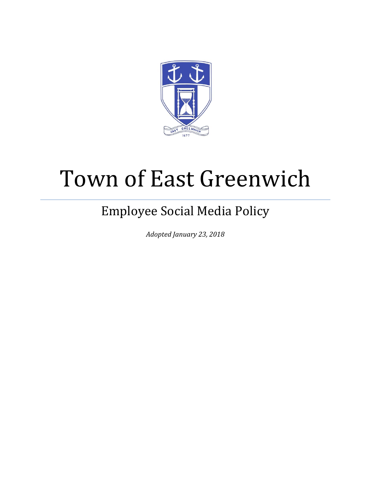

# Town of East Greenwich

# Employee Social Media Policy

*Adopted January 23, 2018*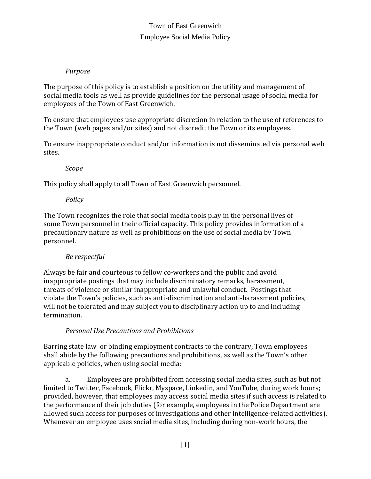# Employee Social Media Policy

# *Purpose*

The purpose of this policy is to establish a position on the utility and management of social media tools as well as provide guidelines for the personal usage of social media for employees of the Town of East Greenwich.

To ensure that employees use appropriate discretion in relation to the use of references to the Town (web pages and/or sites) and not discredit the Town or its employees.

To ensure inappropriate conduct and/or information is not disseminated via personal web sites.

*Scope*

This policy shall apply to all Town of East Greenwich personnel.

#### *Policy*

The Town recognizes the role that social media tools play in the personal lives of some Town personnel in their official capacity. This policy provides information of a precautionary nature as well as prohibitions on the use of social media by Town personnel.

# *Be respectful*

Always be fair and courteous to fellow co-workers and the public and avoid inappropriate postings that may include discriminatory remarks, harassment, threats of violence or similar inappropriate and unlawful conduct. Postings that violate the Town's policies, such as anti-discrimination and anti-harassment policies, will not be tolerated and may subject you to disciplinary action up to and including termination.

# *Personal Use Precautions and Prohibitions*

Barring state law or binding employment contracts to the contrary, Town employees shall abide by the following precautions and prohibitions, as well as the Town's other applicable policies, when using social media:

a. Employees are prohibited from accessing social media sites, such as but not limited to Twitter, Facebook, Flickr, Myspace, Linkedin, and YouTube, during work hours; provided, however, that employees may access social media sites if such access is related to the performance of their job duties (for example, employees in the Police Department are allowed such access for purposes of investigations and other intelligence-related activities). Whenever an employee uses social media sites, including during non-work hours, the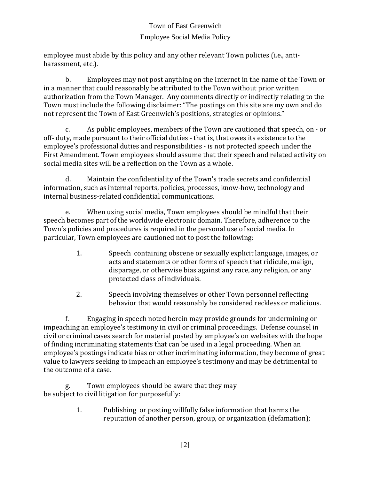# Employee Social Media Policy

employee must abide by this policy and any other relevant Town policies (i.e., antiharassment, etc.).

b. Employees may not post anything on the Internet in the name of the Town or in a manner that could reasonably be attributed to the Town without prior written authorization from the Town Manager. Any comments directly or indirectly relating to the Town must include the following disclaimer: "The postings on this site are my own and do not represent the Town of East Greenwich's positions, strategies or opinions."

c. As public employees, members of the Town are cautioned that speech, on - or off- duty, made pursuant to their official duties - that is, that owes its existence to the employee's professional duties and responsibilities - is not protected speech under the First Amendment. Town employees should assume that their speech and related activity on social media sites will be a reflection on the Town as a whole.

d. Maintain the confidentiality of the Town's trade secrets and confidential information, such as internal reports, policies, processes, know-how, technology and internal business-related confidential communications.

e. When using social media, Town employees should be mindful that their speech becomes part of the worldwide electronic domain. Therefore, adherence to the Town's policies and procedures is required in the personal use of social media. In particular, Town employees are cautioned not to post the following:

- 1. Speech containing obscene or sexually explicit language, images, or acts and statements or other forms of speech that ridicule, malign, disparage, or otherwise bias against any race, any religion, or any protected class of individuals.
- 2. Speech involving themselves or other Town personnel reflecting behavior that would reasonably be considered reckless or malicious.

f. Engaging in speech noted herein may provide grounds for undermining or impeaching an employee's testimony in civil or criminal proceedings. Defense counsel in civil or criminal cases search for material posted by employee's on websites with the hope of finding incriminating statements that can be used in a legal proceeding. When an employee's postings indicate bias or other incriminating information, they become of great value to lawyers seeking to impeach an employee's testimony and may be detrimental to the outcome of a case.

g. Town employees should be aware that they may be subject to civil litigation for purposefully:

> 1. Publishing or posting willfully false information that harms the reputation of another person, group, or organization (defamation);